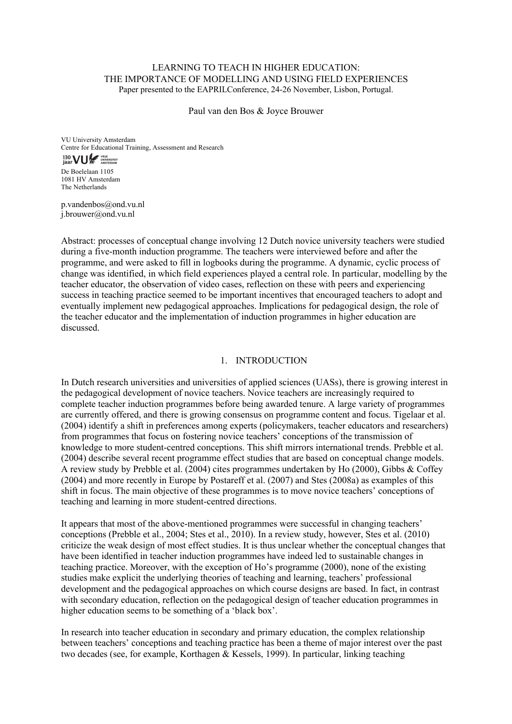## LEARNING TO TEACH IN HIGHER EDUCATION: THE IMPORTANCE OF MODELLING AND USING FIELD EXPERIENCES Paper presented to the EAPRILConference, 24-26 November, Lisbon, Portugal.

Paul van den Bos & Joyce Brouwer

VU University Amsterdam Centre for Educational Training, Assessment and Research

# 130 **VUL SERVICE**

De Boelelaan 1105 1081 HV Amsterdam The Netherlands

p.vandenbos@ond.vu.nl j.brouwer@ond.vu.nl

Abstract: processes of conceptual change involving 12 Dutch novice university teachers were studied during a five-month induction programme. The teachers were interviewed before and after the programme, and were asked to fill in logbooks during the programme. A dynamic, cyclic process of change was identified, in which field experiences played a central role. In particular, modelling by the teacher educator, the observation of video cases, reflection on these with peers and experiencing success in teaching practice seemed to be important incentives that encouraged teachers to adopt and eventually implement new pedagogical approaches. Implications for pedagogical design, the role of the teacher educator and the implementation of induction programmes in higher education are discussed.

## 1. INTRODUCTION

In Dutch research universities and universities of applied sciences (UASs), there is growing interest in the pedagogical development of novice teachers. Novice teachers are increasingly required to complete teacher induction programmes before being awarded tenure. A large variety of programmes are currently offered, and there is growing consensus on programme content and focus. Tigelaar et al. (2004) identify a shift in preferences among experts (policymakers, teacher educators and researchers) from programmes that focus on fostering novice teachers' conceptions of the transmission of knowledge to more student-centred conceptions. This shift mirrors international trends. Prebble et al. (2004) describe several recent programme effect studies that are based on conceptual change models. A review study by Prebble et al. (2004) cites programmes undertaken by Ho (2000), Gibbs & Coffey (2004) and more recently in Europe by Postareff et al. (2007) and Stes (2008a) as examples of this shift in focus. The main objective of these programmes is to move novice teachers' conceptions of teaching and learning in more student-centred directions.

It appears that most of the above-mentioned programmes were successful in changing teachers' conceptions (Prebble et al., 2004; Stes et al., 2010). In a review study, however, Stes et al. (2010) criticize the weak design of most effect studies. It is thus unclear whether the conceptual changes that have been identified in teacher induction programmes have indeed led to sustainable changes in teaching practice. Moreover, with the exception of Ho's programme (2000), none of the existing studies make explicit the underlying theories of teaching and learning, teachers' professional development and the pedagogical approaches on which course designs are based. In fact, in contrast with secondary education, reflection on the pedagogical design of teacher education programmes in higher education seems to be something of a 'black box'.

In research into teacher education in secondary and primary education, the complex relationship between teachers' conceptions and teaching practice has been a theme of major interest over the past two decades (see, for example, Korthagen & Kessels, 1999). In particular, linking teaching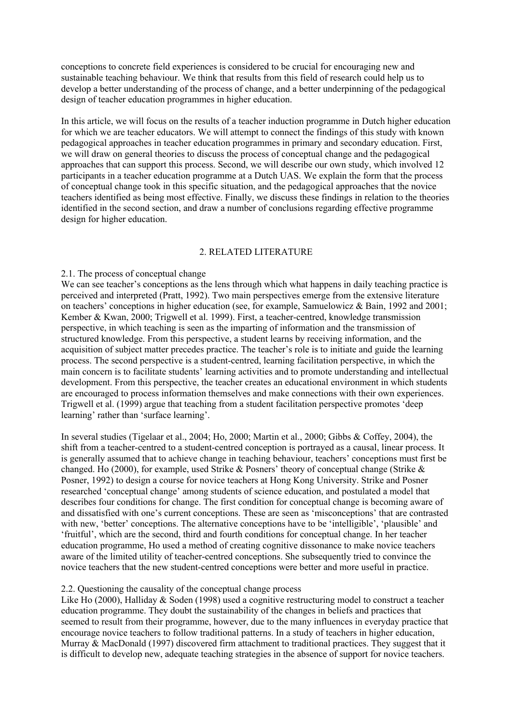conceptions to concrete field experiences is considered to be crucial for encouraging new and sustainable teaching behaviour. We think that results from this field of research could help us to develop a better understanding of the process of change, and a better underpinning of the pedagogical design of teacher education programmes in higher education.

In this article, we will focus on the results of a teacher induction programme in Dutch higher education for which we are teacher educators. We will attempt to connect the findings of this study with known pedagogical approaches in teacher education programmes in primary and secondary education. First, we will draw on general theories to discuss the process of conceptual change and the pedagogical approaches that can support this process. Second, we will describe our own study, which involved 12 participants in a teacher education programme at a Dutch UAS. We explain the form that the process of conceptual change took in this specific situation, and the pedagogical approaches that the novice teachers identified as being most effective. Finally, we discuss these findings in relation to the theories identified in the second section, and draw a number of conclusions regarding effective programme design for higher education.

## 2. RELATED LITERATURE

## 2.1. The process of conceptual change

We can see teacher's conceptions as the lens through which what happens in daily teaching practice is perceived and interpreted (Pratt, 1992). Two main perspectives emerge from the extensive literature on teachers' conceptions in higher education (see, for example, Samuelowicz & Bain, 1992 and 2001; Kember & Kwan, 2000; Trigwell et al. 1999). First, a teacher-centred, knowledge transmission perspective, in which teaching is seen as the imparting of information and the transmission of structured knowledge. From this perspective, a student learns by receiving information, and the acquisition of subject matter precedes practice. The teacher's role is to initiate and guide the learning process. The second perspective is a student-centred, learning facilitation perspective, in which the main concern is to facilitate students' learning activities and to promote understanding and intellectual development. From this perspective, the teacher creates an educational environment in which students are encouraged to process information themselves and make connections with their own experiences. Trigwell et al. (1999) argue that teaching from a student facilitation perspective promotes 'deep learning' rather than 'surface learning'.

In several studies (Tigelaar et al., 2004; Ho, 2000; Martin et al., 2000; Gibbs & Coffey, 2004), the shift from a teacher-centred to a student-centred conception is portrayed as a causal, linear process. It is generally assumed that to achieve change in teaching behaviour, teachers' conceptions must first be changed. Ho (2000), for example, used Strike & Posners' theory of conceptual change (Strike & Posner, 1992) to design a course for novice teachers at Hong Kong University. Strike and Posner researched 'conceptual change' among students of science education, and postulated a model that describes four conditions for change. The first condition for conceptual change is becoming aware of and dissatisfied with one's current conceptions. These are seen as 'misconceptions' that are contrasted with new, 'better' conceptions. The alternative conceptions have to be 'intelligible', 'plausible' and 'fruitful', which are the second, third and fourth conditions for conceptual change. In her teacher education programme, Ho used a method of creating cognitive dissonance to make novice teachers aware of the limited utility of teacher-centred conceptions. She subsequently tried to convince the novice teachers that the new student-centred conceptions were better and more useful in practice.

## 2.2. Questioning the causality of the conceptual change process

Like Ho (2000), Halliday & Soden (1998) used a cognitive restructuring model to construct a teacher education programme. They doubt the sustainability of the changes in beliefs and practices that seemed to result from their programme, however, due to the many influences in everyday practice that encourage novice teachers to follow traditional patterns. In a study of teachers in higher education, Murray & MacDonald (1997) discovered firm attachment to traditional practices. They suggest that it is difficult to develop new, adequate teaching strategies in the absence of support for novice teachers.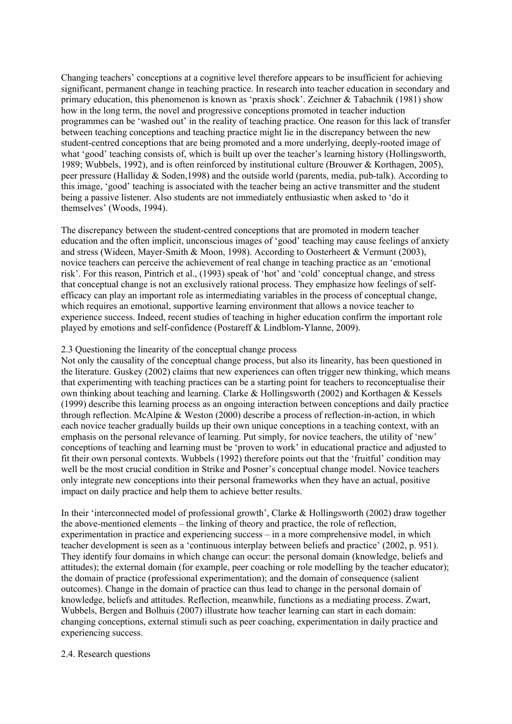Changing teachers' conceptions at a cognitive level therefore appears to be insufficient for achieving significant, permanent change in teaching practice. In research into teacher education in secondary and primary education, this phenomenon is known as 'praxis shock'. Zeichner & Tabachnik (1981) show how in the long term, the novel and progressive conceptions promoted in teacher induction programmes can be 'washed out' in the reality of teaching practice. One reason for this lack of transfer between teaching conceptions and teaching practice might lie in the discrepancy between the new student-centred conceptions that are being promoted and a more underlying, deeply-rooted image of what 'good' teaching consists of, which is built up over the teacher's learning history (Hollingsworth, 1989; Wubbels, 1992), and is often reinforced by institutional culture (Brouwer & Korthagen, 2005), peer pressure (Halliday & Soden,1998) and the outside world (parents, media, pub-talk). According to this image, 'good' teaching is associated with the teacher being an active transmitter and the student being a passive listener. Also students are not immediately enthusiastic when asked to 'do it themselves' (Woods, 1994).

The discrepancy between the student-centred conceptions that are promoted in modern teacher education and the often implicit, unconscious images of 'good' teaching may cause feelings of anxiety and stress (Wideen, Mayer-Smith & Moon, 1998). According to Oosterheert & Vermunt (2003), novice teachers can perceive the achievement of real change in teaching practice as an 'emotional risk'. For this reason, Pintrich et al., (1993) speak of 'hot' and 'cold' conceptual change, and stress that conceptual change is not an exclusively rational process. They emphasize how feelings of selfefficacy can play an important role as intermediating variables in the process of conceptual change, which requires an emotional, supportive learning environment that allows a novice teacher to experience success. Indeed, recent studies of teaching in higher education confirm the important role played by emotions and self-confidence (Postareff & Lindblom-Ylanne, 2009).

## 2.3 Questioning the linearity of the conceptual change process

Not only the causality of the conceptual change process, but also its linearity, has been questioned in the literature. Guskey (2002) claims that new experiences can often trigger new thinking, which means that experimenting with teaching practices can be a starting point for teachers to reconceptualise their own thinking about teaching and learning. Clarke & Hollingsworth (2002) and Korthagen & Kessels (1999) describe this learning process as an ongoing interaction between conceptions and daily practice through reflection. McAlpine & Weston (2000) describe a process of reflection-in-action, in which each novice teacher gradually builds up their own unique conceptions in a teaching context, with an emphasis on the personal relevance of learning. Put simply, for novice teachers, the utility of 'new' conceptions of teaching and learning must be 'proven to work' in educational practice and adjusted to fit their own personal contexts. Wubbels (1992) therefore points out that the 'fruitful' condition may well be the most crucial condition in Strike and Posner's conceptual change model. Novice teachers only integrate new conceptions into their personal frameworks when they have an actual, positive impact on daily practice and help them to achieve better results.

In their 'interconnected model of professional growth', Clarke & Hollingsworth (2002) draw together the above-mentioned elements – the linking of theory and practice, the role of reflection, experimentation in practice and experiencing success – in a more comprehensive model, in which teacher development is seen as a 'continuous interplay between beliefs and practice' (2002, p. 951). They identify four domains in which change can occur: the personal domain (knowledge, beliefs and attitudes); the external domain (for example, peer coaching or role modelling by the teacher educator); the domain of practice (professional experimentation); and the domain of consequence (salient outcomes). Change in the domain of practice can thus lead to change in the personal domain of knowledge, beliefs and attitudes. Reflection, meanwhile, functions as a mediating process. Zwart, Wubbels, Bergen and Bolhuis (2007) illustrate how teacher learning can start in each domain: changing conceptions, external stimuli such as peer coaching, experimentation in daily practice and experiencing success.

## 2.4. Research questions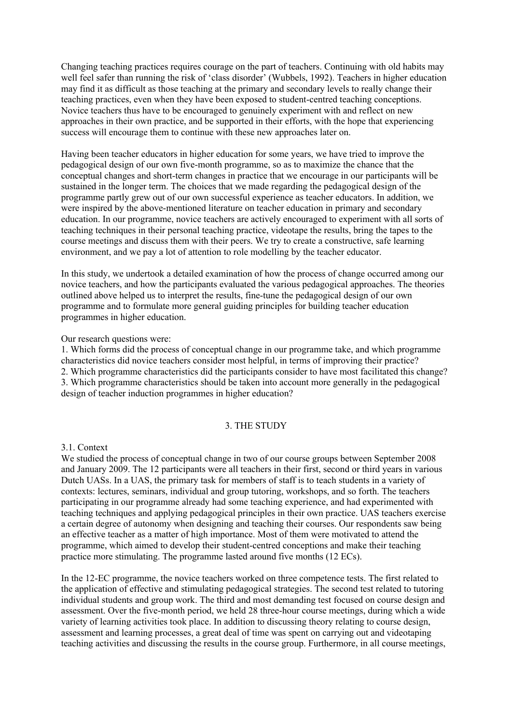Changing teaching practices requires courage on the part of teachers. Continuing with old habits may well feel safer than running the risk of 'class disorder' (Wubbels, 1992). Teachers in higher education may find it as difficult as those teaching at the primary and secondary levels to really change their teaching practices, even when they have been exposed to student-centred teaching conceptions. Novice teachers thus have to be encouraged to genuinely experiment with and reflect on new approaches in their own practice, and be supported in their efforts, with the hope that experiencing success will encourage them to continue with these new approaches later on.

Having been teacher educators in higher education for some years, we have tried to improve the pedagogical design of our own five-month programme, so as to maximize the chance that the conceptual changes and short-term changes in practice that we encourage in our participants will be sustained in the longer term. The choices that we made regarding the pedagogical design of the programme partly grew out of our own successful experience as teacher educators. In addition, we were inspired by the above-mentioned literature on teacher education in primary and secondary education. In our programme, novice teachers are actively encouraged to experiment with all sorts of teaching techniques in their personal teaching practice, videotape the results, bring the tapes to the course meetings and discuss them with their peers. We try to create a constructive, safe learning environment, and we pay a lot of attention to role modelling by the teacher educator.

In this study, we undertook a detailed examination of how the process of change occurred among our novice teachers, and how the participants evaluated the various pedagogical approaches. The theories outlined above helped us to interpret the results, fine-tune the pedagogical design of our own programme and to formulate more general guiding principles for building teacher education programmes in higher education.

### Our research questions were:

1. Which forms did the process of conceptual change in our programme take, and which programme characteristics did novice teachers consider most helpful, in terms of improving their practice? 2. Which programme characteristics did the participants consider to have most facilitated this change? 3. Which programme characteristics should be taken into account more generally in the pedagogical design of teacher induction programmes in higher education?

#### 3. THE STUDY

### 3.1. Context

We studied the process of conceptual change in two of our course groups between September 2008 and January 2009. The 12 participants were all teachers in their first, second or third years in various Dutch UASs. In a UAS, the primary task for members of staff is to teach students in a variety of contexts: lectures, seminars, individual and group tutoring, workshops, and so forth. The teachers participating in our programme already had some teaching experience, and had experimented with teaching techniques and applying pedagogical principles in their own practice. UAS teachers exercise a certain degree of autonomy when designing and teaching their courses. Our respondents saw being an effective teacher as a matter of high importance. Most of them were motivated to attend the programme, which aimed to develop their student-centred conceptions and make their teaching practice more stimulating. The programme lasted around five months (12 ECs).

In the 12-EC programme, the novice teachers worked on three competence tests. The first related to the application of effective and stimulating pedagogical strategies. The second test related to tutoring individual students and group work. The third and most demanding test focused on course design and assessment. Over the five-month period, we held 28 three-hour course meetings, during which a wide variety of learning activities took place. In addition to discussing theory relating to course design, assessment and learning processes, a great deal of time was spent on carrying out and videotaping teaching activities and discussing the results in the course group. Furthermore, in all course meetings,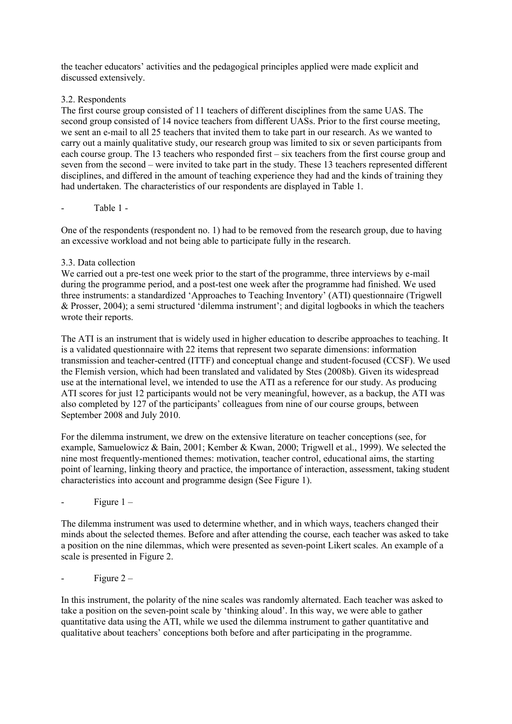the teacher educators' activities and the pedagogical principles applied were made explicit and discussed extensively.

## 3.2. Respondents

The first course group consisted of 11 teachers of different disciplines from the same UAS. The second group consisted of 14 novice teachers from different UASs. Prior to the first course meeting, we sent an e-mail to all 25 teachers that invited them to take part in our research. As we wanted to carry out a mainly qualitative study, our research group was limited to six or seven participants from each course group. The 13 teachers who responded first – six teachers from the first course group and seven from the second – were invited to take part in the study. These 13 teachers represented different disciplines, and differed in the amount of teaching experience they had and the kinds of training they had undertaken. The characteristics of our respondents are displayed in Table 1.

## Table 1 -

One of the respondents (respondent no. 1) had to be removed from the research group, due to having an excessive workload and not being able to participate fully in the research.

## 3.3. Data collection

We carried out a pre-test one week prior to the start of the programme, three interviews by e-mail during the programme period, and a post-test one week after the programme had finished. We used three instruments: a standardized 'Approaches to Teaching Inventory' (ATI) questionnaire (Trigwell & Prosser, 2004); a semi structured 'dilemma instrument'; and digital logbooks in which the teachers wrote their reports.

The ATI is an instrument that is widely used in higher education to describe approaches to teaching. It is a validated questionnaire with 22 items that represent two separate dimensions: information transmission and teacher-centred (ITTF) and conceptual change and student-focused (CCSF). We used the Flemish version, which had been translated and validated by Stes (2008b). Given its widespread use at the international level, we intended to use the ATI as a reference for our study. As producing ATI scores for just 12 participants would not be very meaningful, however, as a backup, the ATI was also completed by 127 of the participants' colleagues from nine of our course groups, between September 2008 and July 2010.

For the dilemma instrument, we drew on the extensive literature on teacher conceptions (see, for example, Samuelowicz & Bain, 2001; Kember & Kwan, 2000; Trigwell et al., 1999). We selected the nine most frequently-mentioned themes: motivation, teacher control, educational aims, the starting point of learning, linking theory and practice, the importance of interaction, assessment, taking student characteristics into account and programme design (See Figure 1).

## Figure  $1 -$

The dilemma instrument was used to determine whether, and in which ways, teachers changed their minds about the selected themes. Before and after attending the course, each teacher was asked to take a position on the nine dilemmas, which were presented as seven-point Likert scales. An example of a scale is presented in Figure 2.

## Figure  $2 -$

In this instrument, the polarity of the nine scales was randomly alternated. Each teacher was asked to take a position on the seven-point scale by 'thinking aloud'. In this way, we were able to gather quantitative data using the ATI, while we used the dilemma instrument to gather quantitative and qualitative about teachers' conceptions both before and after participating in the programme.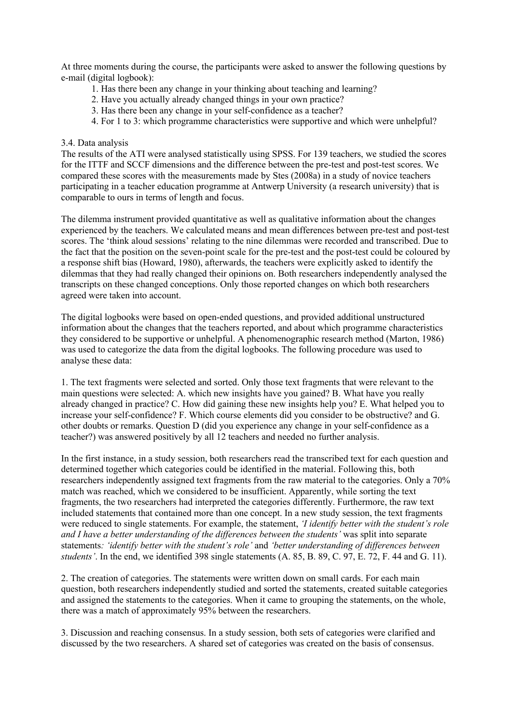At three moments during the course, the participants were asked to answer the following questions by e-mail (digital logbook):

- 1. Has there been any change in your thinking about teaching and learning?
- 2. Have you actually already changed things in your own practice?
- 3. Has there been any change in your self-confidence as a teacher?
- 4. For 1 to 3: which programme characteristics were supportive and which were unhelpful?

### 3.4. Data analysis

The results of the ATI were analysed statistically using SPSS. For 139 teachers, we studied the scores for the ITTF and SCCF dimensions and the difference between the pre-test and post-test scores. We compared these scores with the measurements made by Stes (2008a) in a study of novice teachers participating in a teacher education programme at Antwerp University (a research university) that is comparable to ours in terms of length and focus.

The dilemma instrument provided quantitative as well as qualitative information about the changes experienced by the teachers. We calculated means and mean differences between pre-test and post-test scores. The 'think aloud sessions' relating to the nine dilemmas were recorded and transcribed. Due to the fact that the position on the seven-point scale for the pre-test and the post-test could be coloured by a response shift bias (Howard, 1980), afterwards, the teachers were explicitly asked to identify the dilemmas that they had really changed their opinions on. Both researchers independently analysed the transcripts on these changed conceptions. Only those reported changes on which both researchers agreed were taken into account.

The digital logbooks were based on open-ended questions, and provided additional unstructured information about the changes that the teachers reported, and about which programme characteristics they considered to be supportive or unhelpful. A phenomenographic research method (Marton, 1986) was used to categorize the data from the digital logbooks. The following procedure was used to analyse these data:

1. The text fragments were selected and sorted. Only those text fragments that were relevant to the main questions were selected: A. which new insights have you gained? B. What have you really already changed in practice? C. How did gaining these new insights help you? E. What helped you to increase your self-confidence? F. Which course elements did you consider to be obstructive? and G. other doubts or remarks. Question D (did you experience any change in your self-confidence as a teacher?) was answered positively by all 12 teachers and needed no further analysis.

In the first instance, in a study session, both researchers read the transcribed text for each question and determined together which categories could be identified in the material. Following this, both researchers independently assigned text fragments from the raw material to the categories. Only a 70% match was reached, which we considered to be insufficient. Apparently, while sorting the text fragments, the two researchers had interpreted the categories differently. Furthermore, the raw text included statements that contained more than one concept. In a new study session, the text fragments were reduced to single statements. For example, the statement, *'I identify better with the student's role and I have a better understanding of the differences between the students'* was split into separate statements*: 'identify better with the student's role'* and *'better understanding of differences between students'*. In the end, we identified 398 single statements (A. 85, B. 89, C. 97, E. 72, F. 44 and G. 11).

2. The creation of categories. The statements were written down on small cards. For each main question, both researchers independently studied and sorted the statements, created suitable categories and assigned the statements to the categories. When it came to grouping the statements, on the whole, there was a match of approximately 95% between the researchers.

3. Discussion and reaching consensus. In a study session, both sets of categories were clarified and discussed by the two researchers. A shared set of categories was created on the basis of consensus.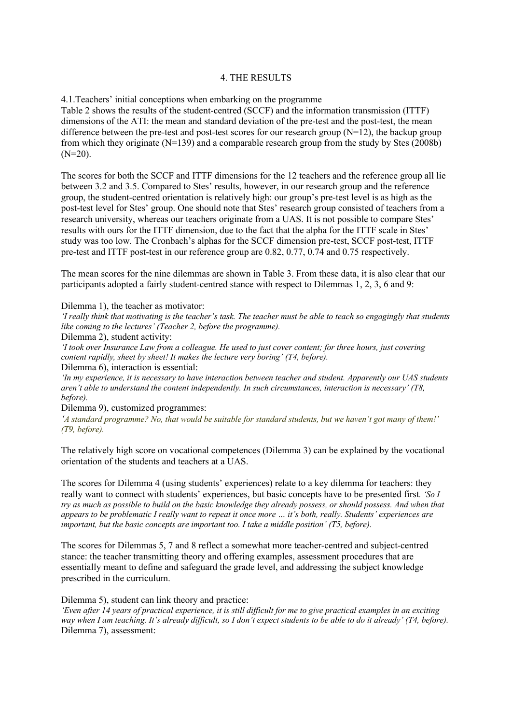## 4. THE RESULTS

4.1.Teachers' initial conceptions when embarking on the programme

Table 2 shows the results of the student-centred (SCCF) and the information transmission (ITTF) dimensions of the ATI: the mean and standard deviation of the pre-test and the post-test, the mean difference between the pre-test and post-test scores for our research group  $(N=12)$ , the backup group from which they originate  $(N=139)$  and a comparable research group from the study by Stes (2008b)  $(N=20)$ .

The scores for both the SCCF and ITTF dimensions for the 12 teachers and the reference group all lie between 3.2 and 3.5. Compared to Stes' results, however, in our research group and the reference group, the student-centred orientation is relatively high: our group's pre-test level is as high as the post-test level for Stes' group. One should note that Stes' research group consisted of teachers from a research university, whereas our teachers originate from a UAS. It is not possible to compare Stes' results with ours for the ITTF dimension, due to the fact that the alpha for the ITTF scale in Stes' study was too low. The Cronbach's alphas for the SCCF dimension pre-test, SCCF post-test, ITTF pre-test and ITTF post-test in our reference group are 0.82, 0.77, 0.74 and 0.75 respectively.

The mean scores for the nine dilemmas are shown in Table 3. From these data, it is also clear that our participants adopted a fairly student-centred stance with respect to Dilemmas 1, 2, 3, 6 and 9:

Dilemma 1), the teacher as motivator:

*'I really think that motivating is the teacher's task. The teacher must be able to teach so engagingly that students like coming to the lectures' (Teacher 2, before the programme).*

Dilemma 2), student activity:

*'I took over Insurance Law from a colleague. He used to just cover content; for three hours, just covering content rapidly, sheet by sheet! It makes the lecture very boring' (T4, before).* Dilemma 6), interaction is essential:

*'In my experience, it is necessary to have interaction between teacher and student. Apparently our UAS students aren't able to understand the content independently. In such circumstances, interaction is necessary' (T8, before).*

Dilemma 9), customized programmes:

*'A standard programme? No, that would be suitable for standard students, but we haven't got many of them!' (T9, before).*

The relatively high score on vocational competences (Dilemma 3) can be explained by the vocational orientation of the students and teachers at a UAS.

The scores for Dilemma 4 (using students' experiences) relate to a key dilemma for teachers: they really want to connect with students' experiences, but basic concepts have to be presented first*. 'So I try as much as possible to build on the basic knowledge they already possess, or should possess. And when that appears to be problematic I really want to repeat it once more … it's both, really. Students' experiences are important, but the basic concepts are important too. I take a middle position' (T5, before).* 

The scores for Dilemmas 5, 7 and 8 reflect a somewhat more teacher-centred and subject-centred stance: the teacher transmitting theory and offering examples, assessment procedures that are essentially meant to define and safeguard the grade level, and addressing the subject knowledge prescribed in the curriculum.

Dilemma 5), student can link theory and practice:

*'Even after 14 years of practical experience, it is still difficult for me to give practical examples in an exciting way when I am teaching. It's already difficult, so I don't expect students to be able to do it already' (T4, before).*  Dilemma 7), assessment: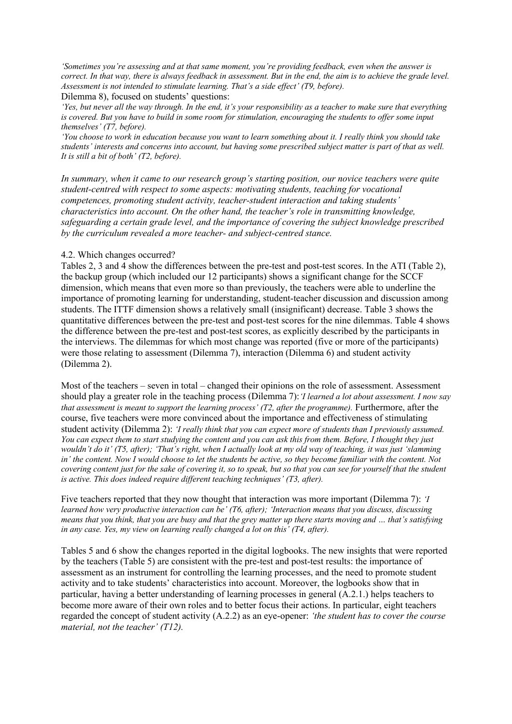*'Sometimes you're assessing and at that same moment, you're providing feedback, even when the answer is correct. In that way, there is always feedback in assessment. But in the end, the aim is to achieve the grade level. Assessment is not intended to stimulate learning. That's a side effect' (T9, before).*

Dilemma 8), focused on students' questions:

*'Yes, but never all the way through. In the end, it's your responsibility as a teacher to make sure that everything is covered. But you have to build in some room for stimulation, encouraging the students to offer some input themselves' (T7, before).* 

*'You choose to work in education because you want to learn something about it. I really think you should take students' interests and concerns into account, but having some prescribed subject matter is part of that as well. It is still a bit of both' (T2, before).*

*In summary, when it came to our research group's starting position, our novice teachers were quite student-centred with respect to some aspects: motivating students, teaching for vocational competences, promoting student activity, teacher-student interaction and taking students' characteristics into account. On the other hand, the teacher's role in transmitting knowledge, safeguarding a certain grade level, and the importance of covering the subject knowledge prescribed by the curriculum revealed a more teacher- and subject-centred stance.*

### 4.2. Which changes occurred?

Tables 2, 3 and 4 show the differences between the pre-test and post-test scores. In the ATI (Table 2), the backup group (which included our 12 participants) shows a significant change for the SCCF dimension, which means that even more so than previously, the teachers were able to underline the importance of promoting learning for understanding, student-teacher discussion and discussion among students. The ITTF dimension shows a relatively small (insignificant) decrease. Table 3 shows the quantitative differences between the pre-test and post-test scores for the nine dilemmas. Table 4 shows the difference between the pre-test and post-test scores, as explicitly described by the participants in the interviews. The dilemmas for which most change was reported (five or more of the participants) were those relating to assessment (Dilemma 7), interaction (Dilemma 6) and student activity (Dilemma 2).

Most of the teachers – seven in total – changed their opinions on the role of assessment. Assessment should play a greater role in the teaching process (Dilemma 7):*'I learned a lot about assessment. I now say that assessment is meant to support the learning process' (T2, after the programme).* Furthermore, after the course, five teachers were more convinced about the importance and effectiveness of stimulating student activity (Dilemma 2): *'I really think that you can expect more of students than I previously assumed. You can expect them to start studying the content and you can ask this from them. Before, I thought they just*  wouldn't do it' (T5, after); 'That's right, when I actually look at my old way of teaching, it was just 'slamming *in' the content. Now I would choose to let the students be active, so they become familiar with the content. Not covering content just for the sake of covering it, so to speak, but so that you can see for yourself that the student is active. This does indeed require different teaching techniques' (T3, after).*

Five teachers reported that they now thought that interaction was more important (Dilemma 7): *'I learned how very productive interaction can be' (T6, after); 'Interaction means that you discuss, discussing means that you think, that you are busy and that the grey matter up there starts moving and … that's satisfying in any case. Yes, my view on learning really changed a lot on this' (T4, after).* 

Tables 5 and 6 show the changes reported in the digital logbooks. The new insights that were reported by the teachers (Table 5) are consistent with the pre-test and post-test results: the importance of assessment as an instrument for controlling the learning processes, and the need to promote student activity and to take students' characteristics into account. Moreover, the logbooks show that in particular, having a better understanding of learning processes in general (A.2.1.) helps teachers to become more aware of their own roles and to better focus their actions. In particular, eight teachers regarded the concept of student activity (A.2.2) as an eye-opener: *'the student has to cover the course material, not the teacher' (T12).*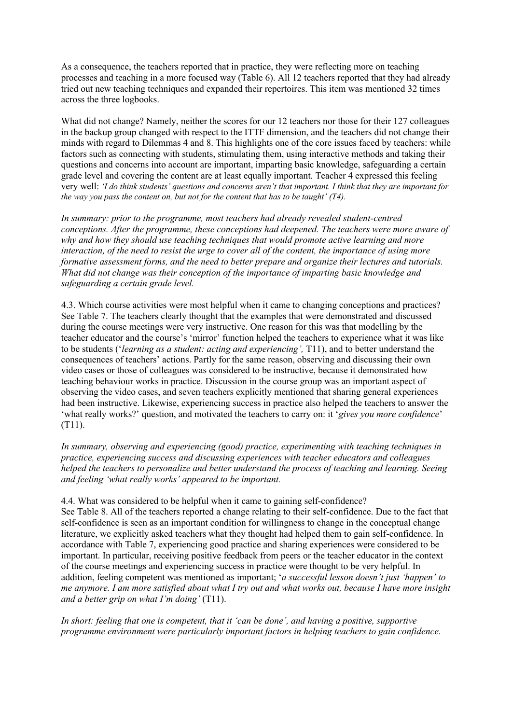As a consequence, the teachers reported that in practice, they were reflecting more on teaching processes and teaching in a more focused way (Table 6). All 12 teachers reported that they had already tried out new teaching techniques and expanded their repertoires. This item was mentioned 32 times across the three logbooks.

What did not change? Namely, neither the scores for our 12 teachers nor those for their 127 colleagues in the backup group changed with respect to the ITTF dimension, and the teachers did not change their minds with regard to Dilemmas 4 and 8. This highlights one of the core issues faced by teachers: while factors such as connecting with students, stimulating them, using interactive methods and taking their questions and concerns into account are important, imparting basic knowledge, safeguarding a certain grade level and covering the content are at least equally important. Teacher 4 expressed this feeling very well: *'I do think students' questions and concerns aren't that important. I think that they are important for the way you pass the content on, but not for the content that has to be taught' (T4).*

*In summary: prior to the programme, most teachers had already revealed student-centred conceptions. After the programme, these conceptions had deepened. The teachers were more aware of why and how they should use teaching techniques that would promote active learning and more interaction, of the need to resist the urge to cover all of the content, the importance of using more formative assessment forms, and the need to better prepare and organize their lectures and tutorials. What did not change was their conception of the importance of imparting basic knowledge and safeguarding a certain grade level.*

4.3. Which course activities were most helpful when it came to changing conceptions and practices? See Table 7. The teachers clearly thought that the examples that were demonstrated and discussed during the course meetings were very instructive. One reason for this was that modelling by the teacher educator and the course's 'mirror' function helped the teachers to experience what it was like to be students ('*learning as a student: acting and experiencing',* T11), and to better understand the consequences of teachers' actions. Partly for the same reason, observing and discussing their own video cases or those of colleagues was considered to be instructive, because it demonstrated how teaching behaviour works in practice. Discussion in the course group was an important aspect of observing the video cases, and seven teachers explicitly mentioned that sharing general experiences had been instructive. Likewise, experiencing success in practice also helped the teachers to answer the 'what really works?' question, and motivated the teachers to carry on: it '*gives you more confidence*' (T11).

*In summary, observing and experiencing (good) practice, experimenting with teaching techniques in practice, experiencing success and discussing experiences with teacher educators and colleagues helped the teachers to personalize and better understand the process of teaching and learning. Seeing and feeling 'what really works' appeared to be important.*

4.4. What was considered to be helpful when it came to gaining self-confidence? See Table 8. All of the teachers reported a change relating to their self-confidence. Due to the fact that self-confidence is seen as an important condition for willingness to change in the conceptual change literature, we explicitly asked teachers what they thought had helped them to gain self-confidence. In accordance with Table 7, experiencing good practice and sharing experiences were considered to be important. In particular, receiving positive feedback from peers or the teacher educator in the context of the course meetings and experiencing success in practice were thought to be very helpful. In addition, feeling competent was mentioned as important; '*a successful lesson doesn't just 'happen' to me anymore. I am more satisfied about what I try out and what works out, because I have more insight and a better grip on what I'm doing'* (T11).

*In short: feeling that one is competent, that it 'can be done', and having a positive, supportive programme environment were particularly important factors in helping teachers to gain confidence.*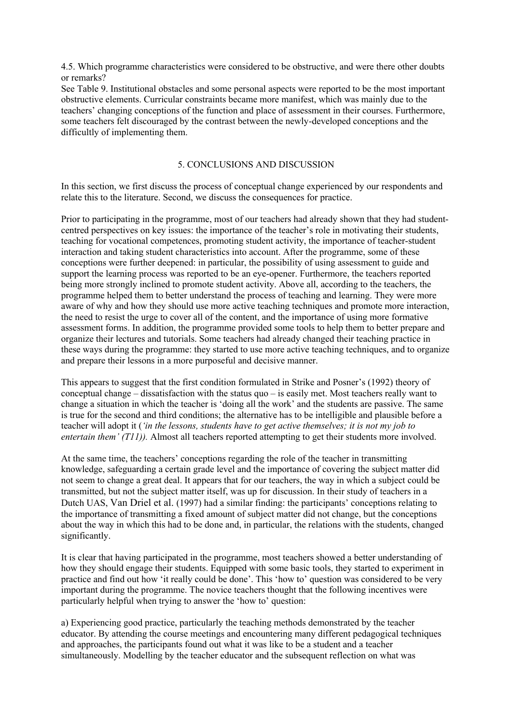4.5. Which programme characteristics were considered to be obstructive, and were there other doubts or remarks?

See Table 9. Institutional obstacles and some personal aspects were reported to be the most important obstructive elements. Curricular constraints became more manifest, which was mainly due to the teachers' changing conceptions of the function and place of assessment in their courses. Furthermore, some teachers felt discouraged by the contrast between the newly-developed conceptions and the difficultly of implementing them.

## 5. CONCLUSIONS AND DISCUSSION

In this section, we first discuss the process of conceptual change experienced by our respondents and relate this to the literature. Second, we discuss the consequences for practice.

Prior to participating in the programme, most of our teachers had already shown that they had studentcentred perspectives on key issues: the importance of the teacher's role in motivating their students, teaching for vocational competences, promoting student activity, the importance of teacher-student interaction and taking student characteristics into account. After the programme, some of these conceptions were further deepened: in particular, the possibility of using assessment to guide and support the learning process was reported to be an eye-opener. Furthermore, the teachers reported being more strongly inclined to promote student activity. Above all, according to the teachers, the programme helped them to better understand the process of teaching and learning. They were more aware of why and how they should use more active teaching techniques and promote more interaction, the need to resist the urge to cover all of the content, and the importance of using more formative assessment forms. In addition, the programme provided some tools to help them to better prepare and organize their lectures and tutorials. Some teachers had already changed their teaching practice in these ways during the programme: they started to use more active teaching techniques, and to organize and prepare their lessons in a more purposeful and decisive manner.

This appears to suggest that the first condition formulated in Strike and Posner's (1992) theory of conceptual change – dissatisfaction with the status quo – is easily met. Most teachers really want to change a situation in which the teacher is 'doing all the work' and the students are passive. The same is true for the second and third conditions; the alternative has to be intelligible and plausible before a teacher will adopt it (*'in the lessons, students have to get active themselves; it is not my job to entertain them' (T11)).* Almost all teachers reported attempting to get their students more involved.

At the same time, the teachers' conceptions regarding the role of the teacher in transmitting knowledge, safeguarding a certain grade level and the importance of covering the subject matter did not seem to change a great deal. It appears that for our teachers, the way in which a subject could be transmitted, but not the subject matter itself, was up for discussion. In their study of teachers in a Dutch UAS, Van Driel et al. (1997) had a similar finding: the participants' conceptions relating to the importance of transmitting a fixed amount of subject matter did not change, but the conceptions about the way in which this had to be done and, in particular, the relations with the students, changed significantly.

It is clear that having participated in the programme, most teachers showed a better understanding of how they should engage their students. Equipped with some basic tools, they started to experiment in practice and find out how 'it really could be done'. This 'how to' question was considered to be very important during the programme. The novice teachers thought that the following incentives were particularly helpful when trying to answer the 'how to' question:

a) Experiencing good practice, particularly the teaching methods demonstrated by the teacher educator. By attending the course meetings and encountering many different pedagogical techniques and approaches, the participants found out what it was like to be a student and a teacher simultaneously. Modelling by the teacher educator and the subsequent reflection on what was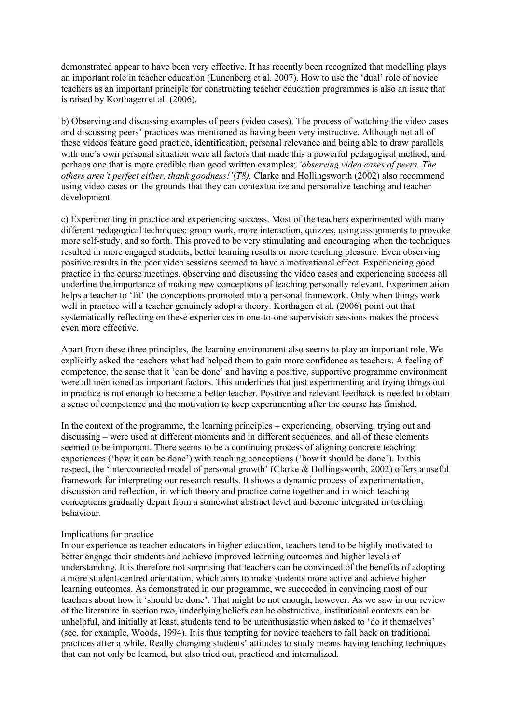demonstrated appear to have been very effective. It has recently been recognized that modelling plays an important role in teacher education (Lunenberg et al. 2007). How to use the 'dual' role of novice teachers as an important principle for constructing teacher education programmes is also an issue that is raised by Korthagen et al. (2006).

b) Observing and discussing examples of peers (video cases). The process of watching the video cases and discussing peers' practices was mentioned as having been very instructive. Although not all of these videos feature good practice, identification, personal relevance and being able to draw parallels with one's own personal situation were all factors that made this a powerful pedagogical method, and perhaps one that is more credible than good written examples; *'observing video cases of peers. The others aren't perfect either, thank goodness!'(T8).* Clarke and Hollingsworth (2002) also recommend using video cases on the grounds that they can contextualize and personalize teaching and teacher development.

c) Experimenting in practice and experiencing success. Most of the teachers experimented with many different pedagogical techniques: group work, more interaction, quizzes, using assignments to provoke more self-study, and so forth. This proved to be very stimulating and encouraging when the techniques resulted in more engaged students, better learning results or more teaching pleasure. Even observing positive results in the peer video sessions seemed to have a motivational effect. Experiencing good practice in the course meetings, observing and discussing the video cases and experiencing success all underline the importance of making new conceptions of teaching personally relevant. Experimentation helps a teacher to 'fit' the conceptions promoted into a personal framework. Only when things work well in practice will a teacher genuinely adopt a theory. Korthagen et al. (2006) point out that systematically reflecting on these experiences in one-to-one supervision sessions makes the process even more effective.

Apart from these three principles, the learning environment also seems to play an important role. We explicitly asked the teachers what had helped them to gain more confidence as teachers. A feeling of competence, the sense that it 'can be done' and having a positive, supportive programme environment were all mentioned as important factors. This underlines that just experimenting and trying things out in practice is not enough to become a better teacher. Positive and relevant feedback is needed to obtain a sense of competence and the motivation to keep experimenting after the course has finished.

In the context of the programme, the learning principles – experiencing, observing, trying out and discussing – were used at different moments and in different sequences, and all of these elements seemed to be important. There seems to be a continuing process of aligning concrete teaching experiences ('how it can be done') with teaching conceptions ('how it should be done'). In this respect, the 'interconnected model of personal growth' (Clarke & Hollingsworth, 2002) offers a useful framework for interpreting our research results. It shows a dynamic process of experimentation, discussion and reflection, in which theory and practice come together and in which teaching conceptions gradually depart from a somewhat abstract level and become integrated in teaching behaviour.

### Implications for practice

In our experience as teacher educators in higher education, teachers tend to be highly motivated to better engage their students and achieve improved learning outcomes and higher levels of understanding. It is therefore not surprising that teachers can be convinced of the benefits of adopting a more student-centred orientation, which aims to make students more active and achieve higher learning outcomes. As demonstrated in our programme, we succeeded in convincing most of our teachers about how it 'should be done'. That might be not enough, however. As we saw in our review of the literature in section two, underlying beliefs can be obstructive, institutional contexts can be unhelpful, and initially at least, students tend to be unenthusiastic when asked to 'do it themselves' (see, for example, Woods, 1994). It is thus tempting for novice teachers to fall back on traditional practices after a while. Really changing students' attitudes to study means having teaching techniques that can not only be learned, but also tried out, practiced and internalized.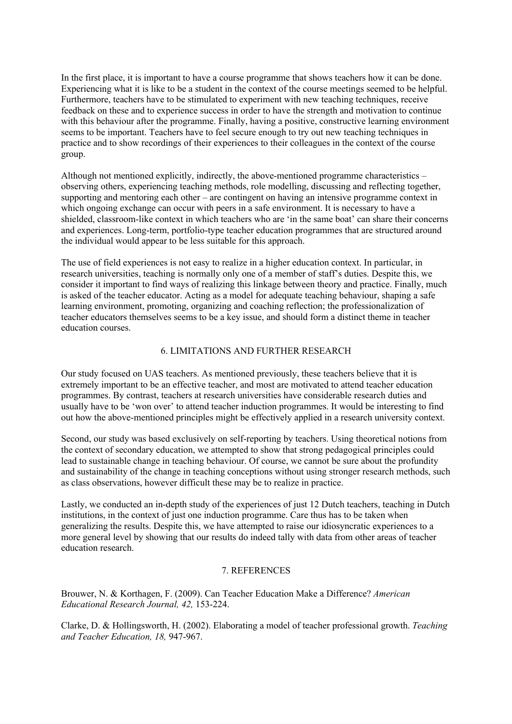In the first place, it is important to have a course programme that shows teachers how it can be done. Experiencing what it is like to be a student in the context of the course meetings seemed to be helpful. Furthermore, teachers have to be stimulated to experiment with new teaching techniques, receive feedback on these and to experience success in order to have the strength and motivation to continue with this behaviour after the programme. Finally, having a positive, constructive learning environment seems to be important. Teachers have to feel secure enough to try out new teaching techniques in practice and to show recordings of their experiences to their colleagues in the context of the course group.

Although not mentioned explicitly, indirectly, the above-mentioned programme characteristics – observing others, experiencing teaching methods, role modelling, discussing and reflecting together, supporting and mentoring each other – are contingent on having an intensive programme context in which ongoing exchange can occur with peers in a safe environment. It is necessary to have a shielded, classroom-like context in which teachers who are 'in the same boat' can share their concerns and experiences. Long-term, portfolio-type teacher education programmes that are structured around the individual would appear to be less suitable for this approach.

The use of field experiences is not easy to realize in a higher education context. In particular, in research universities, teaching is normally only one of a member of staff's duties. Despite this, we consider it important to find ways of realizing this linkage between theory and practice. Finally, much is asked of the teacher educator. Acting as a model for adequate teaching behaviour, shaping a safe learning environment, promoting, organizing and coaching reflection; the professionalization of teacher educators themselves seems to be a key issue, and should form a distinct theme in teacher education courses.

## 6. LIMITATIONS AND FURTHER RESEARCH

Our study focused on UAS teachers. As mentioned previously, these teachers believe that it is extremely important to be an effective teacher, and most are motivated to attend teacher education programmes. By contrast, teachers at research universities have considerable research duties and usually have to be 'won over' to attend teacher induction programmes. It would be interesting to find out how the above-mentioned principles might be effectively applied in a research university context.

Second, our study was based exclusively on self-reporting by teachers. Using theoretical notions from the context of secondary education, we attempted to show that strong pedagogical principles could lead to sustainable change in teaching behaviour. Of course, we cannot be sure about the profundity and sustainability of the change in teaching conceptions without using stronger research methods, such as class observations, however difficult these may be to realize in practice.

Lastly, we conducted an in-depth study of the experiences of just 12 Dutch teachers, teaching in Dutch institutions, in the context of just one induction programme. Care thus has to be taken when generalizing the results. Despite this, we have attempted to raise our idiosyncratic experiences to a more general level by showing that our results do indeed tally with data from other areas of teacher education research.

## 7. REFERENCES

Brouwer, N. & Korthagen, F. (2009). Can Teacher Education Make a Difference? *American Educational Research Journal, 42,* 153-224.

Clarke, D. & Hollingsworth, H. (2002). Elaborating a model of teacher professional growth. *Teaching and Teacher Education, 18,* 947-967.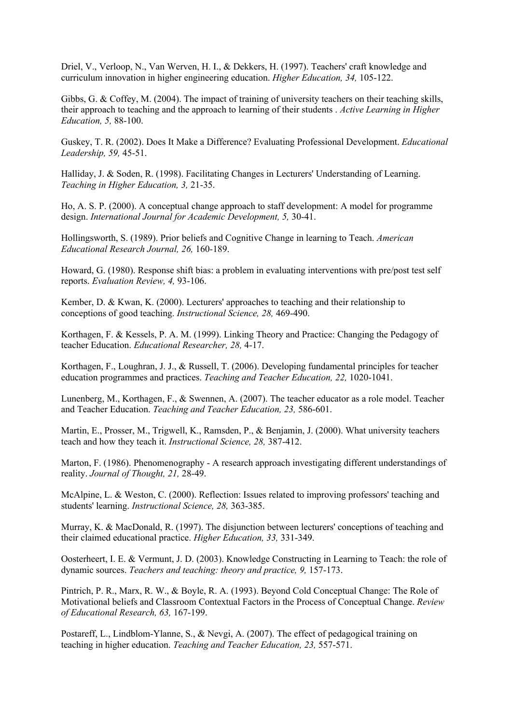Driel, V., Verloop, N., Van Werven, H. I., & Dekkers, H. (1997). Teachers' craft knowledge and curriculum innovation in higher engineering education. *Higher Education, 34,* 105-122.

Gibbs, G. & Coffey, M. (2004). The impact of training of university teachers on their teaching skills, their approach to teaching and the approach to learning of their students . *Active Learning in Higher Education, 5,* 88-100.

Guskey, T. R. (2002). Does It Make a Difference? Evaluating Professional Development. *Educational Leadership, 59,* 45-51.

Halliday, J. & Soden, R. (1998). Facilitating Changes in Lecturers' Understanding of Learning. *Teaching in Higher Education, 3,* 21-35.

Ho, A. S. P. (2000). A conceptual change approach to staff development: A model for programme design. *International Journal for Academic Development, 5,* 30-41.

Hollingsworth, S. (1989). Prior beliefs and Cognitive Change in learning to Teach. *American Educational Research Journal, 26,* 160-189.

Howard, G. (1980). Response shift bias: a problem in evaluating interventions with pre/post test self reports. *Evaluation Review, 4,* 93-106.

Kember, D. & Kwan, K. (2000). Lecturers' approaches to teaching and their relationship to conceptions of good teaching. *Instructional Science, 28,* 469-490.

Korthagen, F. & Kessels, P. A. M. (1999). Linking Theory and Practice: Changing the Pedagogy of teacher Education. *Educational Researcher, 28,* 4-17.

Korthagen, F., Loughran, J. J., & Russell, T. (2006). Developing fundamental principles for teacher education programmes and practices. *Teaching and Teacher Education, 22,* 1020-1041.

Lunenberg, M., Korthagen, F., & Swennen, A. (2007). The teacher educator as a role model. Teacher and Teacher Education. *Teaching and Teacher Education, 23,* 586-601.

Martin, E., Prosser, M., Trigwell, K., Ramsden, P., & Benjamin, J. (2000). What university teachers teach and how they teach it. *Instructional Science, 28,* 387-412.

Marton, F. (1986). Phenomenography - A research approach investigating different understandings of reality. *Journal of Thought, 21,* 28-49.

McAlpine, L. & Weston, C. (2000). Reflection: Issues related to improving professors' teaching and students' learning. *Instructional Science, 28,* 363-385.

Murray, K. & MacDonald, R. (1997). The disjunction between lecturers' conceptions of teaching and their claimed educational practice. *Higher Education, 33,* 331-349.

Oosterheert, I. E. & Vermunt, J. D. (2003). Knowledge Constructing in Learning to Teach: the role of dynamic sources. *Teachers and teaching: theory and practice, 9,* 157-173.

Pintrich, P. R., Marx, R. W., & Boyle, R. A. (1993). Beyond Cold Conceptual Change: The Role of Motivational beliefs and Classroom Contextual Factors in the Process of Conceptual Change. *Review of Educational Research, 63,* 167-199.

Postareff, L., Lindblom-Ylanne, S., & Nevgi, A. (2007). The effect of pedagogical training on teaching in higher education. *Teaching and Teacher Education, 23,* 557-571.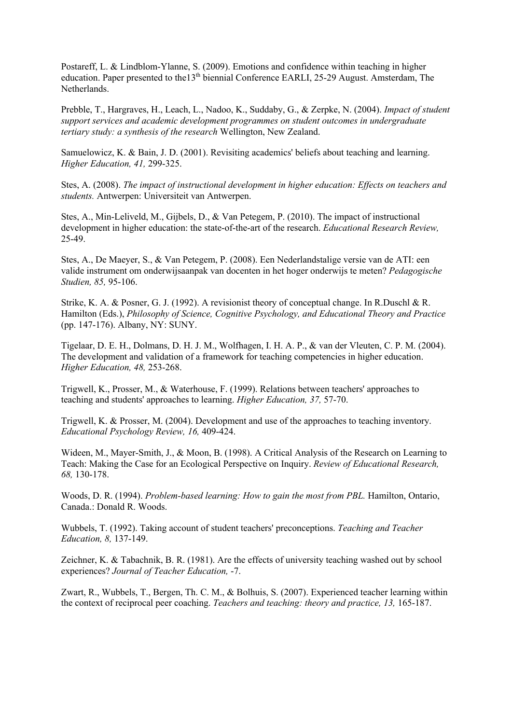Postareff, L. & Lindblom-Ylanne, S. (2009). Emotions and confidence within teaching in higher education. Paper presented to the13<sup>th</sup> biennial Conference EARLI, 25-29 August. Amsterdam, The Netherlands.

Prebble, T., Hargraves, H., Leach, L., Nadoo, K., Suddaby, G., & Zerpke, N. (2004). *Impact of student support services and academic development programmes on student outcomes in undergraduate tertiary study: a synthesis of the research* Wellington, New Zealand.

Samuelowicz, K. & Bain, J. D. (2001). Revisiting academics' beliefs about teaching and learning. *Higher Education, 41,* 299-325.

Stes, A. (2008). *The impact of instructional development in higher education: Effects on teachers and students.* Antwerpen: Universiteit van Antwerpen.

Stes, A., Min-Leliveld, M., Gijbels, D., & Van Petegem, P. (2010). The impact of instructional development in higher education: the state-of-the-art of the research. *Educational Research Review,* 25-49.

Stes, A., De Maeyer, S., & Van Petegem, P. (2008). Een Nederlandstalige versie van de ATI: een valide instrument om onderwijsaanpak van docenten in het hoger onderwijs te meten? *Pedagogische Studien, 85,* 95-106.

Strike, K. A. & Posner, G. J. (1992). A revisionist theory of conceptual change. In R.Duschl & R. Hamilton (Eds.), *Philosophy of Science, Cognitive Psychology, and Educational Theory and Practice* (pp. 147-176). Albany, NY: SUNY.

Tigelaar, D. E. H., Dolmans, D. H. J. M., Wolfhagen, I. H. A. P., & van der Vleuten, C. P. M. (2004). The development and validation of a framework for teaching competencies in higher education. *Higher Education, 48,* 253-268.

Trigwell, K., Prosser, M., & Waterhouse, F. (1999). Relations between teachers' approaches to teaching and students' approaches to learning. *Higher Education, 37,* 57-70.

Trigwell, K. & Prosser, M. (2004). Development and use of the approaches to teaching inventory. *Educational Psychology Review, 16,* 409-424.

Wideen, M., Mayer-Smith, J., & Moon, B. (1998). A Critical Analysis of the Research on Learning to Teach: Making the Case for an Ecological Perspective on Inquiry. *Review of Educational Research, 68,* 130-178.

Woods, D. R. (1994). *Problem-based learning: How to gain the most from PBL.* Hamilton, Ontario, Canada.: Donald R. Woods.

Wubbels, T. (1992). Taking account of student teachers' preconceptions. *Teaching and Teacher Education, 8,* 137-149.

Zeichner, K. & Tabachnik, B. R. (1981). Are the effects of university teaching washed out by school experiences? *Journal of Teacher Education,* -7.

Zwart, R., Wubbels, T., Bergen, Th. C. M., & Bolhuis, S. (2007). Experienced teacher learning within the context of reciprocal peer coaching. *Teachers and teaching: theory and practice, 13,* 165-187.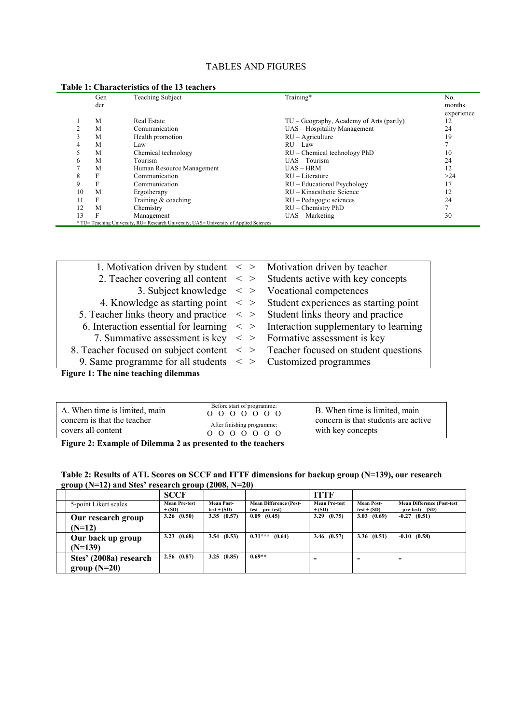## TABLES AND FIGURES

|    | Gen<br>der | <b>Teaching Subject</b>   | Training*                                   | No.<br>months<br>experience |
|----|------------|---------------------------|---------------------------------------------|-----------------------------|
|    | M          | Real Estate               | $TU - Geography$ , Academy of Arts (partly) | 12                          |
|    | M          | Communication             | UAS - Hospitality Management                | 24                          |
|    | M          | Health promotion          | $RU - Agriculture$                          | 19                          |
| 4  | M          | Law                       | $RU - Law$                                  |                             |
|    | M          | Chemical technology       | $RU$ – Chemical technology PhD              | 10                          |
| h. | M          | Tourism                   | $UAS - Tourism$                             | 24                          |
|    | M          | Human Resource Management | $UAS - HRM$                                 | 12                          |
| 8  | F          | Communication             | $RU - Literature$                           | >24                         |
| 9  | F          | Communication             | $RU - Educational Psychology$               | 17                          |
| 10 | M          | Ergotherapy               | RU – Kinaesthetic Science                   | 12                          |
| 11 | F          | Training & coaching       | $RU - Pedagogic sciences$                   | 24                          |
| 12 | M          | Chemistry                 | $RU$ – Chemistry PhD                        | 7                           |
| 13 | F          | Management                | $UAS - Marketing$                           | 30                          |

| 1. Motivation driven by student $\langle \rangle$ Motivation driven by teacher      |                                                                                                 |
|-------------------------------------------------------------------------------------|-------------------------------------------------------------------------------------------------|
|                                                                                     | 2. Teacher covering all content $\langle \rangle$ Students active with key concepts             |
|                                                                                     | 3. Subject knowledge $\langle \rangle$ > Vocational competences                                 |
|                                                                                     | 4. Knowledge as starting point $\langle \rangle$ Student experiences as starting point          |
| 5. Teacher links theory and practice $\leq$ > Student links theory and practice     |                                                                                                 |
|                                                                                     | 6. Interaction essential for learning $\langle \rangle$ = Interaction supplementary to learning |
| 7. Summative assessment is key $\langle \rangle$ > Formative assessment is key      |                                                                                                 |
| 8. Teacher focused on subject content $\leq$ > Teacher focused on student questions |                                                                                                 |
| 9. Same programme for all students $\langle \rangle$ > Customized programmes        |                                                                                                 |
|                                                                                     |                                                                                                 |

**Figure 1: The nine teaching dilemmas** 

| After finishing programme:<br>covers all content<br>with key concepts<br>$0\quad 0\quad 0\quad 0\quad 0\quad 0\quad 0$ | A. When time is limited, main<br>concern is that the teacher | Before start of programme:<br>$0\quad 0\quad 0\quad 0\quad 0\quad 0\quad 0$ | B. When time is limited, main<br>concern is that students are active |
|------------------------------------------------------------------------------------------------------------------------|--------------------------------------------------------------|-----------------------------------------------------------------------------|----------------------------------------------------------------------|
|------------------------------------------------------------------------------------------------------------------------|--------------------------------------------------------------|-----------------------------------------------------------------------------|----------------------------------------------------------------------|

**Figure 2: Example of Dilemma 2 as presented to the teachers**

| Table 2: Results of ATI. Scores on SCCF and ITTF dimensions for backup group (N=139), our research |  |
|----------------------------------------------------------------------------------------------------|--|
| group ( $N=12$ ) and Stes' research group (2008, $N=20$ )                                          |  |

|                                | <b>SCCF</b>                      |                                    |                                                     | <b>ITTF</b>                      |                                    |                                                            |
|--------------------------------|----------------------------------|------------------------------------|-----------------------------------------------------|----------------------------------|------------------------------------|------------------------------------------------------------|
| 5-point Likert scales          | <b>Mean Pre-test</b><br>$+$ (SD) | <b>Mean Post-</b><br>$test + (SD)$ | <b>Mean Difference (Post-</b><br>$test - pre-test)$ | <b>Mean Pre-test</b><br>$+$ (SD) | <b>Mean Post-</b><br>$test + (SD)$ | <b>Mean Difference (Post-test)</b><br>$-$ pre-test) = (SD) |
| Our research group             | 3.26(0.50)                       | 3.35(0.57)                         | $0.09$ $(0.45)$                                     | 3.29(0.75)                       | 3.03(0.69)                         | $-0.27$ $(0.51)$                                           |
| $(N=12)$                       |                                  |                                    |                                                     |                                  |                                    |                                                            |
| Our back up group<br>$(N=139)$ | 3.23(0.68)                       | 3.54(0.53)                         | $0.31***$<br>(0.64)                                 | 3.46(0.57)                       | 3.36(0.51)                         | $-0.10(0.58)$                                              |
| Stes' (2008a) research         | 2.56(0.87)                       | (0.85)<br>3.25                     | $0.69**$                                            |                                  |                                    |                                                            |
| group $(N=20)$                 |                                  |                                    |                                                     |                                  |                                    |                                                            |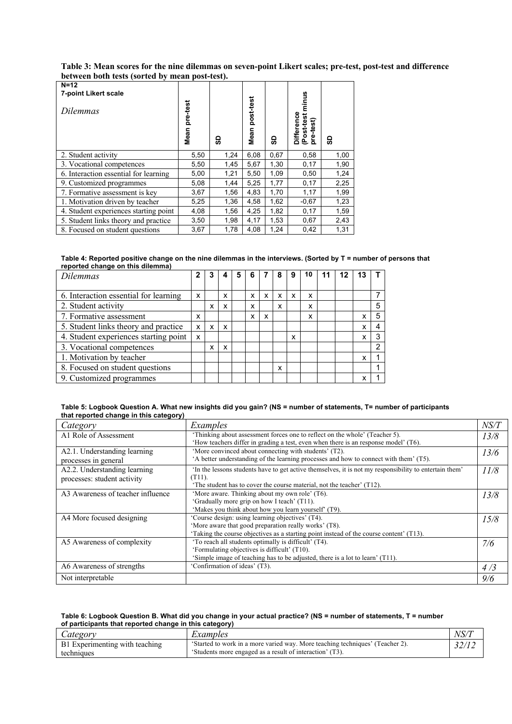| Table 3: Mean scores for the nine dilemmas on seven-point Likert scales; pre-test, post-test and difference |
|-------------------------------------------------------------------------------------------------------------|
| between both tests (sorted by mean post-test).                                                              |

| $N=12$<br>7-point Likert scale<br>Dilemmas | pre-test<br>Mean | င္တ  | post-test<br>Mean | င္တ  | minus<br>ပ္ပိ<br><b>in</b><br>-test)<br>Differen<br>(Post-tes<br>ere | င္တ  |
|--------------------------------------------|------------------|------|-------------------|------|----------------------------------------------------------------------|------|
| 2. Student activity                        | 5,50             | 1,24 | 6,08              | 0,67 | 0,58                                                                 | 1,00 |
| 3. Vocational competences                  | 5,50             | 1,45 | 5,67              | 1,30 | 0,17                                                                 | 1,90 |
| 6. Interaction essential for learning      | 5,00             | 1,21 | 5,50              | 1,09 | 0,50                                                                 | 1,24 |
| 9. Customized programmes                   | 5,08             | 1,44 | 5,25              | 1,77 | 0,17                                                                 | 2,25 |
| 7. Formative assessment is key             | 3,67             | 1,56 | 4,83              | 1,70 | 1,17                                                                 | 1,99 |
| 1. Motivation driven by teacher            | 5,25             | 1,36 | 4,58              | 1,62 | $-0.67$                                                              | 1,23 |
| 4. Student experiences starting point      | 4,08             | 1,56 | 4,25              | 1,82 | 0,17                                                                 | 1,59 |
| 5. Student links theory and practice       | 3,50             | 1,98 | 4,17              | 1,53 | 0,67                                                                 | 2,43 |
| 8. Focused on student questions            | 3,67             | 1,78 | 4.08              | 1.24 | 0,42                                                                 | 1,31 |

|                                  | Table 4: Reported positive change on the nine dilemmas in the interviews. (Sorted by T = number of persons that |
|----------------------------------|-----------------------------------------------------------------------------------------------------------------|
| reported change on this dilemma) |                                                                                                                 |

| <b>Dilemmas</b>                       | 2 |   |   |   |   | 8 | 9 | 10 | 12 |   |   |
|---------------------------------------|---|---|---|---|---|---|---|----|----|---|---|
|                                       |   |   |   |   |   |   |   |    |    |   |   |
| 6. Interaction essential for learning | x |   | x | x | x | x | x | x  |    |   |   |
| 2. Student activity                   |   | x | x | x |   | x |   | x  |    |   | 5 |
| 7. Formative assessment               | x |   |   | x | x |   |   | x  |    | x | 5 |
| 5. Student links theory and practice  | x | x | x |   |   |   |   |    |    | x | 4 |
| 4. Student experiences starting point | X |   |   |   |   |   | x |    |    | x | 3 |
| 3. Vocational competences             |   | x | x |   |   |   |   |    |    |   | 2 |
| 1. Motivation by teacher              |   |   |   |   |   |   |   |    |    | x |   |
| 8. Focused on student questions       |   |   |   |   |   | x |   |    |    |   |   |
| 9. Customized programmes              |   |   |   |   |   |   |   |    |    | x |   |

| Table 5: Logbook Question A. What new insights did you gain? (NS = number of statements, T= number of participants |  |  |
|--------------------------------------------------------------------------------------------------------------------|--|--|
| that reported change in this category)                                                                             |  |  |

| Category                                                    | Examples                                                                                                                                                                                             | NS/T |
|-------------------------------------------------------------|------------------------------------------------------------------------------------------------------------------------------------------------------------------------------------------------------|------|
| A1 Role of Assessment                                       | 'Thinking about assessment forces one to reflect on the whole' (Teacher 5).<br>How teachers differ in grading a test, even when there is an response model' $(T6)$ .                                 | 13/8 |
| A2.1. Understanding learning<br>processes in general        | 'More convinced about connecting with students' (T2).<br>A better understanding of the learning processes and how to connect with them' (T5).                                                        | 13/6 |
| A2.2. Understanding learning<br>processes: student activity | In the lessons students have to get active themselves, it is not my responsibility to entertain them'<br>(T11).<br>'The student has to cover the course material, not the teacher' (T12).            | 11/8 |
| A3 Awareness of teacher influence                           | 'More aware. Thinking about my own role' (T6).<br>'Gradually more grip on how I teach' (T11).<br>'Makes you think about how you learn yourself' (T9).                                                | 13/8 |
| A4 More focused designing                                   | 'Course design: using learning objectives' (T4).<br>'More aware that good preparation really works' (T8).<br>'Taking the course objectives as a starting point instead of the course content' (T13). | 15/8 |
| A5 Awareness of complexity                                  | 'To reach all students optimally is difficult' (T4).<br>'Formulating objectives is difficult' (T10).<br>'Simple image of teaching has to be adjusted, there is a lot to learn' (T11).                | 7/6  |
| A6 Awareness of strengths                                   | 'Confirmation of ideas' (T3).                                                                                                                                                                        | 4/3  |
| Not interpretable                                           |                                                                                                                                                                                                      | 9/6  |

#### **Table 6: Logbook Question B. What did you change in your actual practice? (NS = number of statements, T = number of participants that reported change in this category)**

| ategory                                      | Examples                                                                                                                                  | NS/T |
|----------------------------------------------|-------------------------------------------------------------------------------------------------------------------------------------------|------|
| B1 Experimenting with teaching<br>techmiques | 'Started to work in a more varied way. More teaching techniques' (Teacher 2).<br>'Students more engaged as a result of interaction' (T3). |      |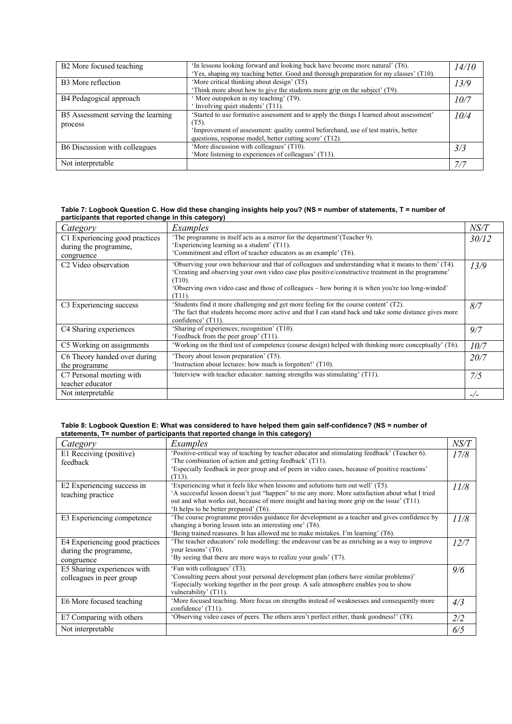| B <sub>2</sub> More focused teaching          | 'In lessons looking forward and looking back have become more natural' (T6).<br>'Yes, shaping my teaching better. Good and thorough preparation for my classes' (T10).                                                                             | 14/10 |
|-----------------------------------------------|----------------------------------------------------------------------------------------------------------------------------------------------------------------------------------------------------------------------------------------------------|-------|
| B <sub>3</sub> More reflection                | 'More critical thinking about design' (T5).<br>Think more about how to give the students more grip on the subject' (T9).                                                                                                                           | 13/9  |
| B4 Pedagogical approach                       | ' More outspoken in my teaching' (T9).<br>'Involving quiet students' (T11).                                                                                                                                                                        | 10/7  |
| B5 Assessment serving the learning<br>process | 'Started to use formative assessment and to apply the things I learned about assessment'<br>(T5).<br>'Improvement of assessment: quality control beforehand, use of test matrix, better<br>questions, response model, better cutting score' (T12). | 10/4  |
| B6 Discussion with colleagues                 | 'More discussion with colleagues' (T10).<br>'More listening to experiences of colleagues' (T13).                                                                                                                                                   | 3/3   |
| Not interpretable                             |                                                                                                                                                                                                                                                    | 7/2   |

#### **Table 7: Logbook Question C. How did these changing insights help you? (NS = number of statements, T = number of participants that reported change in this category)**

| . <i>. .</i>                     |                                                                                                        |       |  |
|----------------------------------|--------------------------------------------------------------------------------------------------------|-------|--|
| Category                         | Examples                                                                                               | NS/T  |  |
| C1 Experiencing good practices   | 'The programme in itself acts as a mirror for the department' (Teacher 9).                             | 30/12 |  |
| during the programme,            | 'Experiencing learning as a student' (T11).                                                            |       |  |
| congruence                       | 'Commitment and effort of teacher educators as an example' (T6).                                       |       |  |
| C <sub>2</sub> Video observation | 'Observing your own behaviour and that of colleagues and understanding what it means to them' (T4).    | 13/9  |  |
|                                  | "Creating and observing your own video case plus positive/constructive treatment in the programme"     |       |  |
|                                  | $(T10)$ .                                                                                              |       |  |
|                                  | 'Observing own video case and those of colleagues – how boring it is when you're too long-winded'      |       |  |
|                                  | $(T11)$ .                                                                                              |       |  |
| C3 Experiencing success          | 'Students find it more challenging and get more feeling for the course content' (T2).                  | 8/7   |  |
|                                  | The fact that students become more active and that I can stand back and take some distance gives more  |       |  |
|                                  | confidence' (T11).                                                                                     |       |  |
| C4 Sharing experiences           | 'Sharing of experiences; recognition' (T10).                                                           | 9/7   |  |
|                                  | 'Feedback from the peer group' (T11).                                                                  |       |  |
| C5 Working on assignments        | 'Working on the third test of competence (course design) helped with thinking more conceptually' (T6). | 10/7  |  |
| C6 Theory handed over during     | 'Theory about lesson preparation' (T5).                                                                | 20/7  |  |
| the programme                    | 'Instruction about lectures: how much is forgotten!' (T10).                                            |       |  |
| C7 Personal meeting with         | 'Interview with teacher educator: naming strengths was stimulating' (T11).                             | 7/5   |  |
| teacher educator                 |                                                                                                        |       |  |
| Not interpretable                |                                                                                                        | $-/-$ |  |
|                                  |                                                                                                        |       |  |

#### **Table 8: Logbook Question E: What was considered to have helped them gain self-confidence? (NS = number of statements, T= number of participants that reported change in this category)**

| Category                                                              | Examples                                                                                                                                                                                                                                                                                                                   | NS/T |
|-----------------------------------------------------------------------|----------------------------------------------------------------------------------------------------------------------------------------------------------------------------------------------------------------------------------------------------------------------------------------------------------------------------|------|
| E1 Receiving (positive)<br>feedback                                   | 'Positive-critical way of teaching by teacher educator and stimulating feedback' (Teacher 6).<br>'The combination of action and getting feedback' (T11).<br>'Especially feedback in peer group and of peers in video cases, because of positive reactions'<br>$(T13)$ .                                                    | 17/8 |
| E2 Experiencing success in<br>teaching practice                       | 'Experiencing what it feels like when lessons and solutions turn out well' (T5).<br>'A successful lesson doesn't just "happen" to me any more. More satisfaction about what I tried<br>out and what works out, because of more insight and having more grip on the issue' (T11).<br>'It helps to be better prepared' (T6). | 11/8 |
| E3 Experiencing competence                                            | The course programme provides guidance for development as a teacher and gives confidence by<br>changing a boring lesson into an interesting one' (T6).<br>'Being trained reassures. It has allowed me to make mistakes. I'm learning' (T6).                                                                                | 11/8 |
| E4 Experiencing good practices<br>during the programme,<br>congruence | The teacher educators' role modelling: the endeavour can be as enriching as a way to improve<br>your lessons' (T6).<br>'By seeing that there are more ways to realize your goals' (T7).                                                                                                                                    | 12/7 |
| E5 Sharing experiences with<br>colleagues in peer group               | 'Fun with colleagues' (T3).<br>'Consulting peers about your personal development plan (others have similar problems)'<br>'Especially working together in the peer group. A safe atmosphere enables you to show<br>vulnerability' (T11).                                                                                    | 9/6  |
| E6 More focused teaching                                              | 'More focused teaching. More focus on strengths instead of weaknesses and consequently more<br>confidence' (T11).                                                                                                                                                                                                          | 4/3  |
| E7 Comparing with others                                              | 'Observing video cases of peers. The others aren't perfect either, thank goodness!' (T8).                                                                                                                                                                                                                                  | 2/2  |
| Not interpretable                                                     |                                                                                                                                                                                                                                                                                                                            | 6/5  |